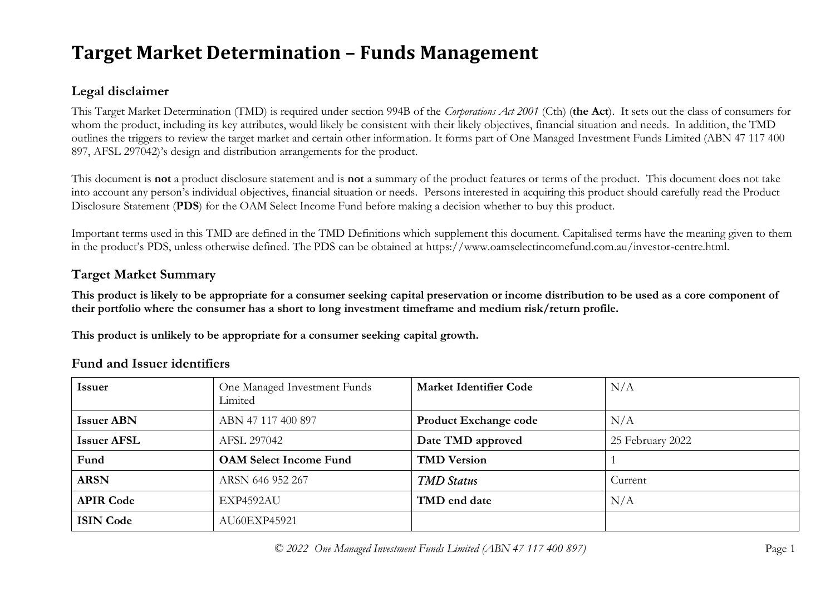# **Target Market Determination – Funds Management**

# **Legal disclaimer**

This Target Market Determination (TMD) is required under section 994B of the *Corporations Act 2001* (Cth) (**the Act**). It sets out the class of consumers for whom the product, including its key attributes, would likely be consistent with their likely objectives, financial situation and needs. In addition, the TMD outlines the triggers to review the target market and certain other information. It forms part of One Managed Investment Funds Limited (ABN 47 117 400 897, AFSL 297042)'s design and distribution arrangements for the product.

This document is **not** a product disclosure statement and is **not** a summary of the product features or terms of the product. This document does not take into account any person's individual objectives, financial situation or needs. Persons interested in acquiring this product should carefully read the Product Disclosure Statement (**PDS**) for the OAM Select Income Fund before making a decision whether to buy this product.

Important terms used in this TMD are defined in the TMD Definitions which supplement this document. Capitalised terms have the meaning given to them in the product's PDS, unless otherwise defined. The PDS can be obtained at https://www.oamselectincomefund.com.au/investor-centre.html.

# **Target Market Summary**

**This product is likely to be appropriate for a consumer seeking capital preservation or income distribution to be used as a core component of their portfolio where the consumer has a short to long investment timeframe and medium risk/return profile.**

**This product is unlikely to be appropriate for a consumer seeking capital growth.**

| <b>Issuer</b>      | One Managed Investment Funds<br>Limited | <b>Market Identifier Code</b> | N/A              |
|--------------------|-----------------------------------------|-------------------------------|------------------|
| <b>Issuer ABN</b>  | ABN 47 117 400 897                      | <b>Product Exchange code</b>  | N/A              |
| <b>Issuer AFSL</b> | AFSL 297042                             | Date TMD approved             | 25 February 2022 |
| Fund               | <b>OAM Select Income Fund</b>           | <b>TMD Version</b>            |                  |
| <b>ARSN</b>        | ARSN 646 952 267                        | <b>TMD</b> Status             | Current          |
| <b>APIR Code</b>   | EXP4592AU                               | TMD end date                  | N/A              |
| <b>ISIN Code</b>   | AU60EXP45921                            |                               |                  |

## **Fund and Issuer identifiers**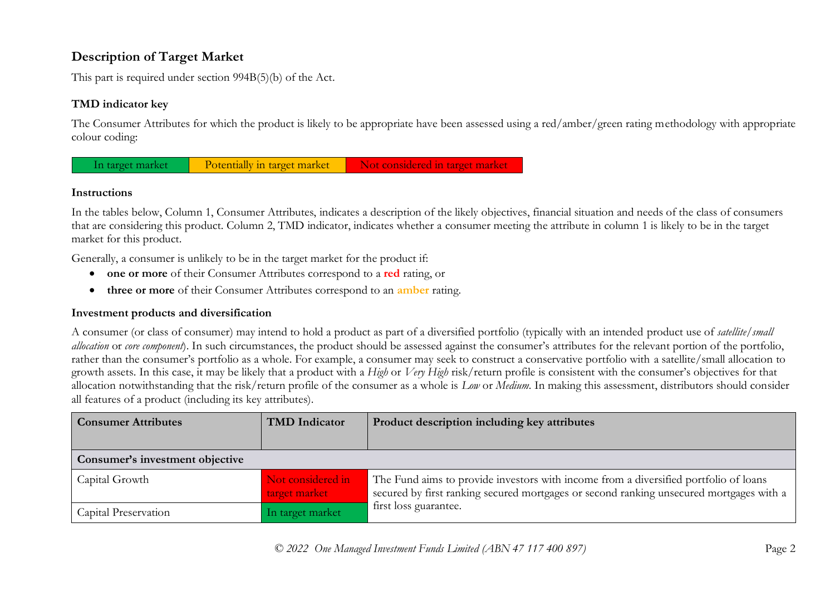# **Description of Target Market**

This part is required under section 994B(5)(b) of the Act.

## **TMD indicator key**

The Consumer Attributes for which the product is likely to be appropriate have been assessed using a red/amber/green rating methodology with appropriate colour coding:



#### **Instructions**

In the tables below, Column 1, Consumer Attributes, indicates a description of the likely objectives, financial situation and needs of the class of consumers that are considering this product. Column 2, TMD indicator, indicates whether a consumer meeting the attribute in column 1 is likely to be in the target market for this product.

Generally, a consumer is unlikely to be in the target market for the product if:

- **one or more** of their Consumer Attributes correspond to a **red** rating, or
- **three or more** of their Consumer Attributes correspond to an **amber** rating.

### **Investment products and diversification**

A consumer (or class of consumer) may intend to hold a product as part of a diversified portfolio (typically with an intended product use of *satellite/small allocation* or *core component*). In such circumstances, the product should be assessed against the consumer's attributes for the relevant portion of the portfolio, rather than the consumer's portfolio as a whole. For example, a consumer may seek to construct a conservative portfolio with a satellite/small allocation to growth assets. In this case, it may be likely that a product with a *High* or *Very High* risk/return profile is consistent with the consumer's objectives for that allocation notwithstanding that the risk/return profile of the consumer as a whole is *Low* or *Medium*. In making this assessment, distributors should consider all features of a product (including its key attributes).

| <b>Consumer Attributes</b>      | <b>TMD</b> Indicator               | Product description including key attributes                                                                                                                                    |
|---------------------------------|------------------------------------|---------------------------------------------------------------------------------------------------------------------------------------------------------------------------------|
|                                 |                                    |                                                                                                                                                                                 |
| Consumer's investment objective |                                    |                                                                                                                                                                                 |
| Capital Growth                  | Not considered in<br>target market | The Fund aims to provide investors with income from a diversified portfolio of loans<br>secured by first ranking secured mortgages or second ranking unsecured mortgages with a |
| Capital Preservation            | In target market                   | first loss guarantee.                                                                                                                                                           |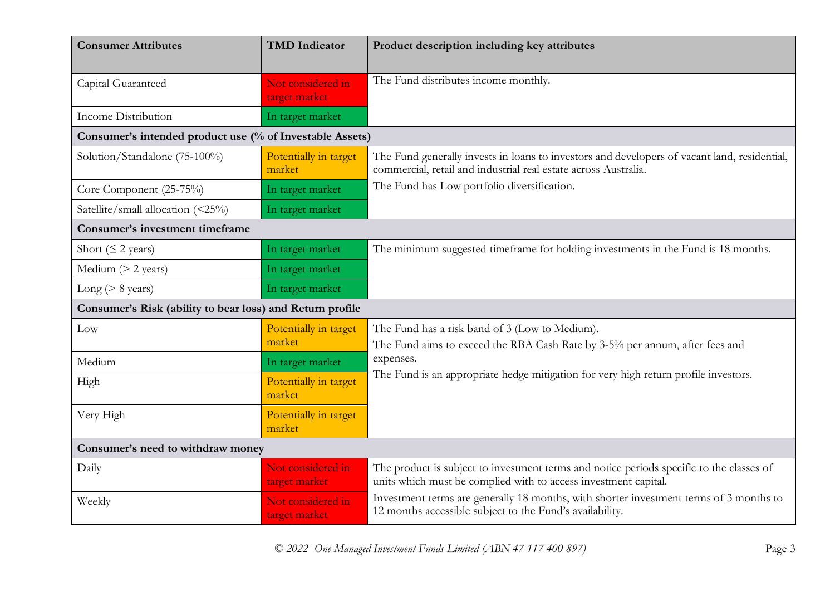| <b>Consumer Attributes</b>                                | <b>TMD</b> Indicator               | Product description including key attributes                                                                                                                    |  |
|-----------------------------------------------------------|------------------------------------|-----------------------------------------------------------------------------------------------------------------------------------------------------------------|--|
| Capital Guaranteed                                        | Not considered in<br>target market | The Fund distributes income monthly.                                                                                                                            |  |
| <b>Income Distribution</b>                                | In target market                   |                                                                                                                                                                 |  |
| Consumer's intended product use (% of Investable Assets)  |                                    |                                                                                                                                                                 |  |
| Solution/Standalone (75-100%)                             | Potentially in target<br>market    | The Fund generally invests in loans to investors and developers of vacant land, residential,<br>commercial, retail and industrial real estate across Australia. |  |
| Core Component (25-75%)                                   | In target market                   | The Fund has Low portfolio diversification.                                                                                                                     |  |
| Satellite/small allocation (<25%)                         | In target market                   |                                                                                                                                                                 |  |
| Consumer's investment timeframe                           |                                    |                                                                                                                                                                 |  |
| Short ( $\leq$ 2 years)                                   | In target market                   | The minimum suggested timeframe for holding investments in the Fund is 18 months.                                                                               |  |
| Medium $(> 2$ years)                                      | In target market                   |                                                                                                                                                                 |  |
| Long ( $> 8$ years)                                       | In target market                   |                                                                                                                                                                 |  |
| Consumer's Risk (ability to bear loss) and Return profile |                                    |                                                                                                                                                                 |  |
| Low                                                       | Potentially in target<br>market    | The Fund has a risk band of 3 (Low to Medium).<br>The Fund aims to exceed the RBA Cash Rate by 3-5% per annum, after fees and                                   |  |
| Medium                                                    | In target market                   | expenses.                                                                                                                                                       |  |
| High                                                      | Potentially in target<br>market    | The Fund is an appropriate hedge mitigation for very high return profile investors.                                                                             |  |
| Very High                                                 | Potentially in target<br>market    |                                                                                                                                                                 |  |
| Consumer's need to withdraw money                         |                                    |                                                                                                                                                                 |  |
| Daily                                                     | Not considered in<br>target market | The product is subject to investment terms and notice periods specific to the classes of<br>units which must be complied with to access investment capital.     |  |
| Weekly                                                    | Not considered in<br>target market | Investment terms are generally 18 months, with shorter investment terms of 3 months to<br>12 months accessible subject to the Fund's availability.              |  |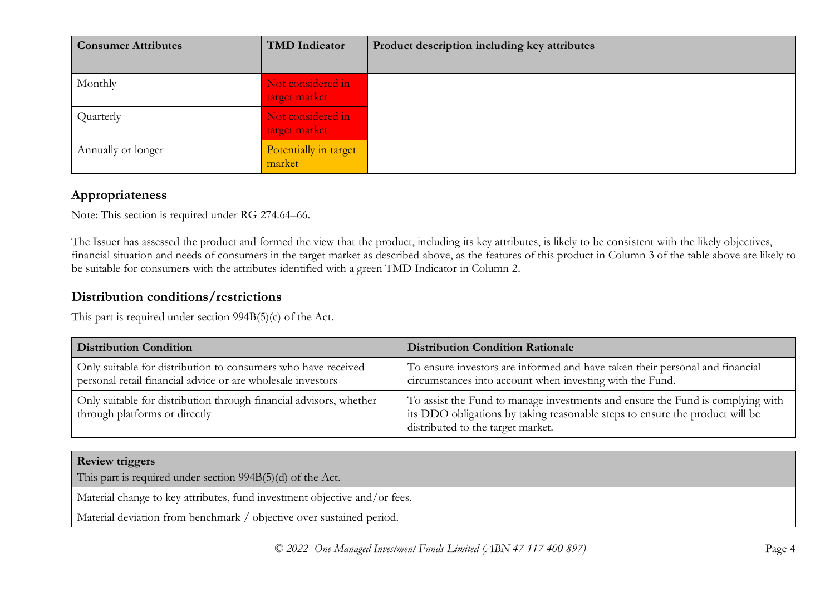| <b>Consumer Attributes</b> | <b>TMD</b> Indicator               | Product description including key attributes |
|----------------------------|------------------------------------|----------------------------------------------|
| Monthly                    | Not considered in<br>target market |                                              |
| Quarterly                  | Not considered in<br>target market |                                              |
| Annually or longer         | Potentially in target<br>market    |                                              |

# **Appropriateness**

Note: This section is required under RG 274.64–66.

The Issuer has assessed the product and formed the view that the product, including its key attributes, is likely to be consistent with the likely objectives, financial situation and needs of consumers in the target market as described above, as the features of this product in Column 3 of the table above are likely to be suitable for consumers with the attributes identified with a green TMD Indicator in Column 2.

## **Distribution conditions/restrictions**

This part is required under section 994B(5)(c) of the Act.

| <b>Distribution Condition</b>                                                                                                | <b>Distribution Condition Rationale</b>                                                                                                                                                             |
|------------------------------------------------------------------------------------------------------------------------------|-----------------------------------------------------------------------------------------------------------------------------------------------------------------------------------------------------|
| Only suitable for distribution to consumers who have received<br>personal retail financial advice or are wholesale investors | To ensure investors are informed and have taken their personal and financial<br>circumstances into account when investing with the Fund.                                                            |
| Only suitable for distribution through financial advisors, whether<br>through platforms or directly                          | To assist the Fund to manage investments and ensure the Fund is complying with<br>its DDO obligations by taking reasonable steps to ensure the product will be<br>distributed to the target market. |

| <b>Review triggers</b>                                                    |  |
|---------------------------------------------------------------------------|--|
| This part is required under section 994B(5)(d) of the Act.                |  |
| Material change to key attributes, fund investment objective and/or fees. |  |
| Material deviation from benchmark / objective over sustained period.      |  |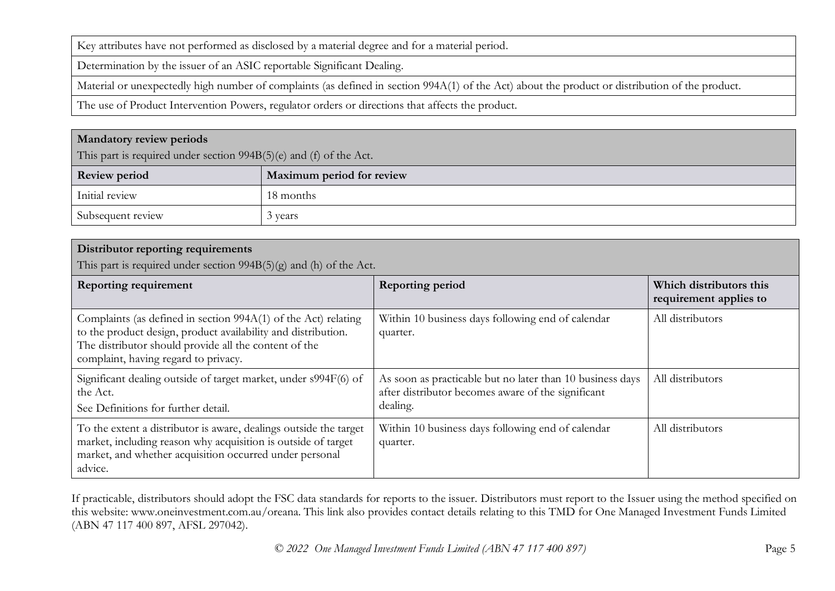Key attributes have not performed as disclosed by a material degree and for a material period.

Determination by the issuer of an ASIC reportable Significant Dealing.

Material or unexpectedly high number of complaints (as defined in section 994A(1) of the Act) about the product or distribution of the product.

The use of Product Intervention Powers, regulator orders or directions that affects the product.

#### **Mandatory review periods**

This part is required under section 994B(5)(e) and (f) of the Act.

| <b>Review period</b> | Maximum period for review |
|----------------------|---------------------------|
| Initial review       | 18 months                 |
| Subsequent review    | vears                     |

#### **Distributor reporting requirements**

This part is required under section  $994B(5)(g)$  and (h) of the Act.

| Reporting requirement                                                                                                                                                                                                            | <b>Reporting period</b>                                                                                                     | Which distributors this<br>requirement applies to |
|----------------------------------------------------------------------------------------------------------------------------------------------------------------------------------------------------------------------------------|-----------------------------------------------------------------------------------------------------------------------------|---------------------------------------------------|
| Complaints (as defined in section 994A(1) of the Act) relating<br>to the product design, product availability and distribution.<br>The distributor should provide all the content of the<br>complaint, having regard to privacy. | Within 10 business days following end of calendar<br>quarter.                                                               | All distributors                                  |
| Significant dealing outside of target market, under s994F(6) of<br>the Act.<br>See Definitions for further detail.                                                                                                               | As soon as practicable but no later than 10 business days<br>after distributor becomes aware of the significant<br>dealing. | All distributors                                  |
| To the extent a distributor is aware, dealings outside the target<br>market, including reason why acquisition is outside of target<br>market, and whether acquisition occurred under personal<br>advice.                         | Within 10 business days following end of calendar<br>quarter.                                                               | All distributors                                  |

If practicable, distributors should adopt the FSC data standards for reports to the issuer. Distributors must report to the Issuer using the method specified on this website: www.oneinvestment.com.au/oreana. This link also provides contact details relating to this TMD for One Managed Investment Funds Limited (ABN 47 117 400 897, AFSL 297042).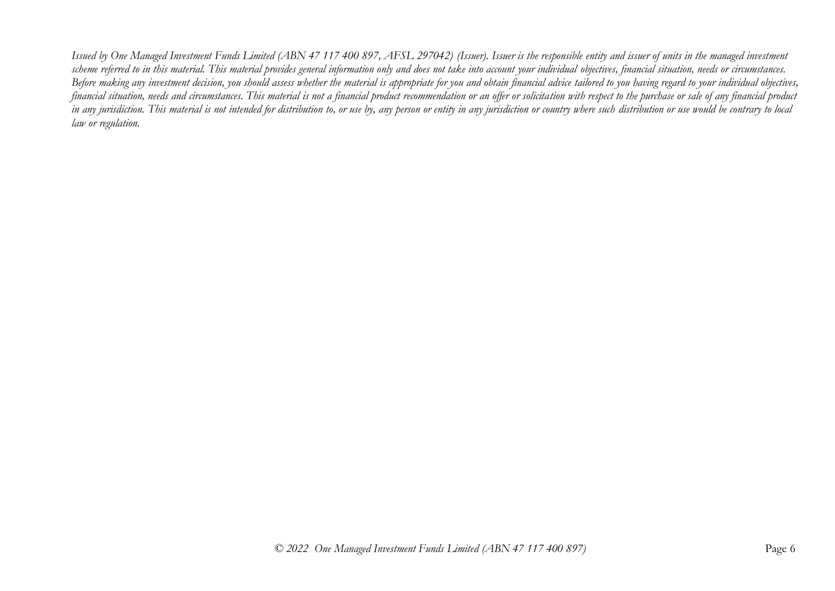*Issued by One Managed Investment Funds Limited (ABN 47 117 400 897, AFSL 297042) (Issuer). Issuer is the responsible entity and issuer of units in the managed investment scheme referred to in this material. This material provides general information only and does not take into account your individual objectives, financial situation, needs or circumstances. Before making any investment decision, you should assess whether the material is appropriate for you and obtain financial advice tailored to you having regard to your individual objectives, financial situation, needs and circumstances. This material is not a financial product recommendation or an offer or solicitation with respect to the purchase or sale of any financial product in any jurisdiction. This material is not intended for distribution to, or use by, any person or entity in any jurisdiction or country where such distribution or use would be contrary to local law or regulation.*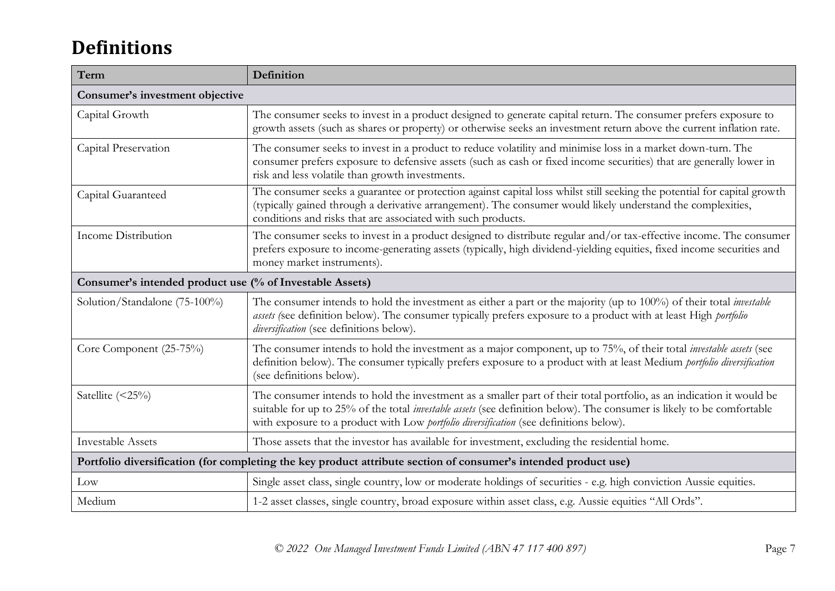# **Definitions**

| Term                                                                                                            | Definition                                                                                                                                                                                                                                                                                                                                      |  |
|-----------------------------------------------------------------------------------------------------------------|-------------------------------------------------------------------------------------------------------------------------------------------------------------------------------------------------------------------------------------------------------------------------------------------------------------------------------------------------|--|
| Consumer's investment objective                                                                                 |                                                                                                                                                                                                                                                                                                                                                 |  |
| Capital Growth                                                                                                  | The consumer seeks to invest in a product designed to generate capital return. The consumer prefers exposure to<br>growth assets (such as shares or property) or otherwise seeks an investment return above the current inflation rate.                                                                                                         |  |
| Capital Preservation                                                                                            | The consumer seeks to invest in a product to reduce volatility and minimise loss in a market down-turn. The<br>consumer prefers exposure to defensive assets (such as cash or fixed income securities) that are generally lower in<br>risk and less volatile than growth investments.                                                           |  |
| Capital Guaranteed                                                                                              | The consumer seeks a guarantee or protection against capital loss whilst still seeking the potential for capital growth<br>(typically gained through a derivative arrangement). The consumer would likely understand the complexities,<br>conditions and risks that are associated with such products.                                          |  |
| Income Distribution                                                                                             | The consumer seeks to invest in a product designed to distribute regular and/or tax-effective income. The consumer<br>prefers exposure to income-generating assets (typically, high dividend-yielding equities, fixed income securities and<br>money market instruments).                                                                       |  |
| Consumer's intended product use (% of Investable Assets)                                                        |                                                                                                                                                                                                                                                                                                                                                 |  |
| Solution/Standalone (75-100%)                                                                                   | The consumer intends to hold the investment as either a part or the majority (up to 100%) of their total <i>investable</i><br>assets (see definition below). The consumer typically prefers exposure to a product with at least High portfolio<br>diversification (see definitions below).                                                      |  |
| Core Component (25-75%)                                                                                         | The consumer intends to hold the investment as a major component, up to 75%, of their total investable assets (see<br>definition below). The consumer typically prefers exposure to a product with at least Medium portfolio diversification<br>(see definitions below).                                                                        |  |
| Satellite $(\leq 25\%)$                                                                                         | The consumer intends to hold the investment as a smaller part of their total portfolio, as an indication it would be<br>suitable for up to 25% of the total <i>investable assets</i> (see definition below). The consumer is likely to be comfortable<br>with exposure to a product with Low portfolio diversification (see definitions below). |  |
| <b>Investable Assets</b>                                                                                        | Those assets that the investor has available for investment, excluding the residential home.                                                                                                                                                                                                                                                    |  |
| Portfolio diversification (for completing the key product attribute section of consumer's intended product use) |                                                                                                                                                                                                                                                                                                                                                 |  |
| Low                                                                                                             | Single asset class, single country, low or moderate holdings of securities - e.g. high conviction Aussie equities.                                                                                                                                                                                                                              |  |
| Medium                                                                                                          | 1-2 asset classes, single country, broad exposure within asset class, e.g. Aussie equities "All Ords".                                                                                                                                                                                                                                          |  |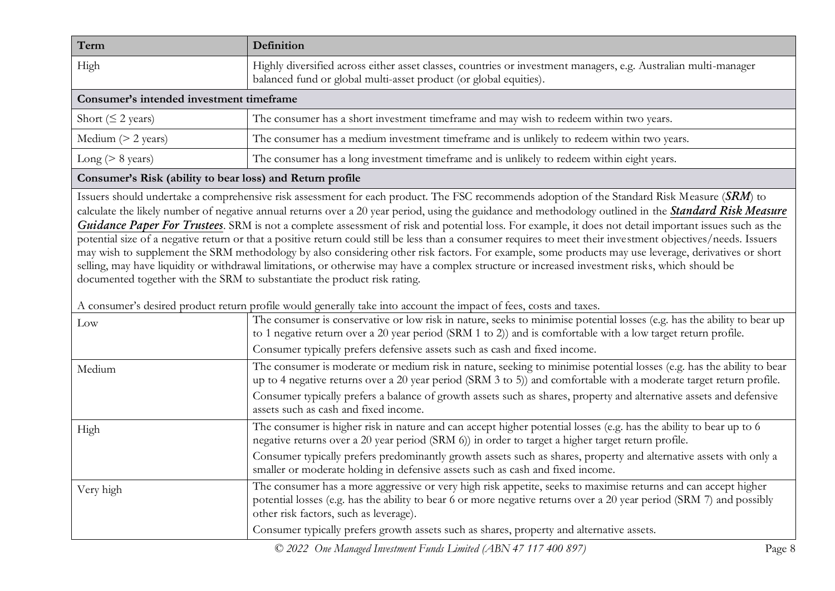| Term                                     | <b>Definition</b>                                                                                                                                                                    |  |
|------------------------------------------|--------------------------------------------------------------------------------------------------------------------------------------------------------------------------------------|--|
| High                                     | Highly diversified across either asset classes, countries or investment managers, e.g. Australian multi-manager<br>balanced fund or global multi-asset product (or global equities). |  |
| Consumer's intended investment timeframe |                                                                                                                                                                                      |  |
| Short ( $\leq$ 2 years)                  | The consumer has a short investment timeframe and may wish to redeem within two years.                                                                                               |  |
| Medium $(> 2$ years)                     | The consumer has a medium investment timeframe and is unlikely to redeem within two years.                                                                                           |  |
| $Long (> 8 \text{ years})$               | The consumer has a long investment timeframe and is unlikely to redeem within eight years.                                                                                           |  |

#### **Consumer's Risk (ability to bear loss) and Return profile**

Issuers should undertake a comprehensive risk assessment for each product. The FSC recommends adoption of the Standard Risk Measure (*SRM*) to calculate the likely number of negative annual returns over a 20 year period, using the guidance and methodology outlined in the *Standard Risk Measure Guidance Paper For Trustees*. SRM is not a complete assessment of risk and potential loss. For example, it does not detail important issues such as the potential size of a negative return or that a positive return could still be less than a consumer requires to meet their investment objectives/needs. Issuers may wish to supplement the SRM methodology by also considering other risk factors. For example, some products may use leverage, derivatives or short selling, may have liquidity or withdrawal limitations, or otherwise may have a complex structure or increased investment risks, which should be documented together with the SRM to substantiate the product risk rating.

| Low       | The consumer is conservative or low risk in nature, seeks to minimise potential losses (e.g. has the ability to bear up<br>to 1 negative return over a 20 year period (SRM 1 to 2)) and is comfortable with a low target return profile.                                                                                                                 |
|-----------|----------------------------------------------------------------------------------------------------------------------------------------------------------------------------------------------------------------------------------------------------------------------------------------------------------------------------------------------------------|
|           | Consumer typically prefers defensive assets such as cash and fixed income.                                                                                                                                                                                                                                                                               |
| Medium    | The consumer is moderate or medium risk in nature, seeking to minimise potential losses (e.g. has the ability to bear<br>up to 4 negative returns over a 20 year period (SRM 3 to 5)) and comfortable with a moderate target return profile.                                                                                                             |
|           | Consumer typically prefers a balance of growth assets such as shares, property and alternative assets and defensive<br>assets such as cash and fixed income.                                                                                                                                                                                             |
| High      | The consumer is higher risk in nature and can accept higher potential losses (e.g. has the ability to bear up to 6<br>negative returns over a 20 year period (SRM 6)) in order to target a higher target return profile.                                                                                                                                 |
|           | Consumer typically prefers predominantly growth assets such as shares, property and alternative assets with only a<br>smaller or moderate holding in defensive assets such as cash and fixed income.                                                                                                                                                     |
| Very high | The consumer has a more aggressive or very high risk appetite, seeks to maximise returns and can accept higher<br>potential losses (e.g. has the ability to bear 6 or more negative returns over a 20 year period (SRM 7) and possibly<br>other risk factors, such as leverage).                                                                         |
|           | Consumer typically prefers growth assets such as shares, property and alternative assets.                                                                                                                                                                                                                                                                |
|           | $\bigcirc$ 2022 $\bigcirc$ 15 $\bigcirc$ 17 $\bigcirc$ 17 $\bigcirc$ 17 $\bigcirc$ 17 $\bigcirc$ 17 $\bigcirc$ 17 $\bigcirc$ 17 $\bigcirc$ 17 $\bigcirc$ 17 $\bigcirc$ 17 $\bigcirc$ 17 $\bigcirc$ 17 $\bigcirc$ 17 $\bigcirc$ 17 $\bigcirc$ 17 $\bigcirc$ 17 $\bigcirc$ 17 $\bigcirc$ 17 $\bigcirc$ 17 $\bigcirc$ 17 $\bigcirc$ 17 $\bigcirc$ 17 $\big$ |

*© 2022 One Managed Investment Funds Limited (ABN 47 117 400 897)* Page 8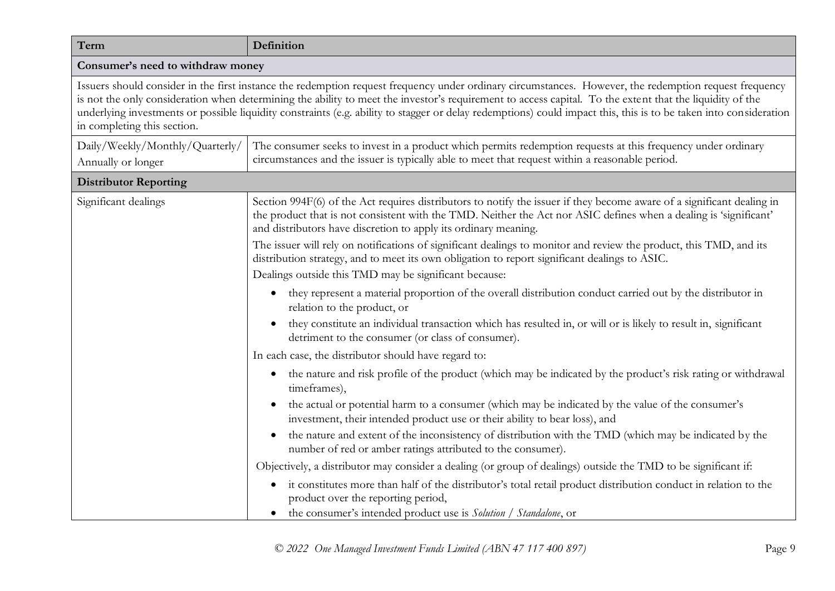| Term                                                                                                                                                                                                                                                                                                                                                                                                                                                                                                                   | Definition                                                                                                                                                                                                                                                                                                                                                                                                                                                                                                                                                                                                                                                                                                                                                                                                                                                                                   |  |
|------------------------------------------------------------------------------------------------------------------------------------------------------------------------------------------------------------------------------------------------------------------------------------------------------------------------------------------------------------------------------------------------------------------------------------------------------------------------------------------------------------------------|----------------------------------------------------------------------------------------------------------------------------------------------------------------------------------------------------------------------------------------------------------------------------------------------------------------------------------------------------------------------------------------------------------------------------------------------------------------------------------------------------------------------------------------------------------------------------------------------------------------------------------------------------------------------------------------------------------------------------------------------------------------------------------------------------------------------------------------------------------------------------------------------|--|
| Consumer's need to withdraw money                                                                                                                                                                                                                                                                                                                                                                                                                                                                                      |                                                                                                                                                                                                                                                                                                                                                                                                                                                                                                                                                                                                                                                                                                                                                                                                                                                                                              |  |
| Issuers should consider in the first instance the redemption request frequency under ordinary circumstances. However, the redemption request frequency<br>is not the only consideration when determining the ability to meet the investor's requirement to access capital. To the extent that the liquidity of the<br>underlying investments or possible liquidity constraints (e.g. ability to stagger or delay redemptions) could impact this, this is to be taken into consideration<br>in completing this section. |                                                                                                                                                                                                                                                                                                                                                                                                                                                                                                                                                                                                                                                                                                                                                                                                                                                                                              |  |
| Daily/Weekly/Monthly/Quarterly/<br>Annually or longer                                                                                                                                                                                                                                                                                                                                                                                                                                                                  | The consumer seeks to invest in a product which permits redemption requests at this frequency under ordinary<br>circumstances and the issuer is typically able to meet that request within a reasonable period.                                                                                                                                                                                                                                                                                                                                                                                                                                                                                                                                                                                                                                                                              |  |
| <b>Distributor Reporting</b>                                                                                                                                                                                                                                                                                                                                                                                                                                                                                           |                                                                                                                                                                                                                                                                                                                                                                                                                                                                                                                                                                                                                                                                                                                                                                                                                                                                                              |  |
| Significant dealings                                                                                                                                                                                                                                                                                                                                                                                                                                                                                                   | Section 994F(6) of the Act requires distributors to notify the issuer if they become aware of a significant dealing in<br>the product that is not consistent with the TMD. Neither the Act nor ASIC defines when a dealing is 'significant'<br>and distributors have discretion to apply its ordinary meaning.<br>The issuer will rely on notifications of significant dealings to monitor and review the product, this TMD, and its<br>distribution strategy, and to meet its own obligation to report significant dealings to ASIC.<br>Dealings outside this TMD may be significant because:<br>they represent a material proportion of the overall distribution conduct carried out by the distributor in<br>$\bullet$<br>relation to the product, or                                                                                                                                     |  |
|                                                                                                                                                                                                                                                                                                                                                                                                                                                                                                                        | they constitute an individual transaction which has resulted in, or will or is likely to result in, significant<br>$\bullet$<br>detriment to the consumer (or class of consumer).<br>In each case, the distributor should have regard to:                                                                                                                                                                                                                                                                                                                                                                                                                                                                                                                                                                                                                                                    |  |
|                                                                                                                                                                                                                                                                                                                                                                                                                                                                                                                        | the nature and risk profile of the product (which may be indicated by the product's risk rating or withdrawal<br>$\bullet$<br>timeframes),<br>the actual or potential harm to a consumer (which may be indicated by the value of the consumer's<br>$\bullet$<br>investment, their intended product use or their ability to bear loss), and<br>the nature and extent of the inconsistency of distribution with the TMD (which may be indicated by the<br>$\bullet$<br>number of red or amber ratings attributed to the consumer).<br>Objectively, a distributor may consider a dealing (or group of dealings) outside the TMD to be significant if:<br>it constitutes more than half of the distributor's total retail product distribution conduct in relation to the<br>$\bullet$<br>product over the reporting period,<br>the consumer's intended product use is Solution / Standalone, or |  |